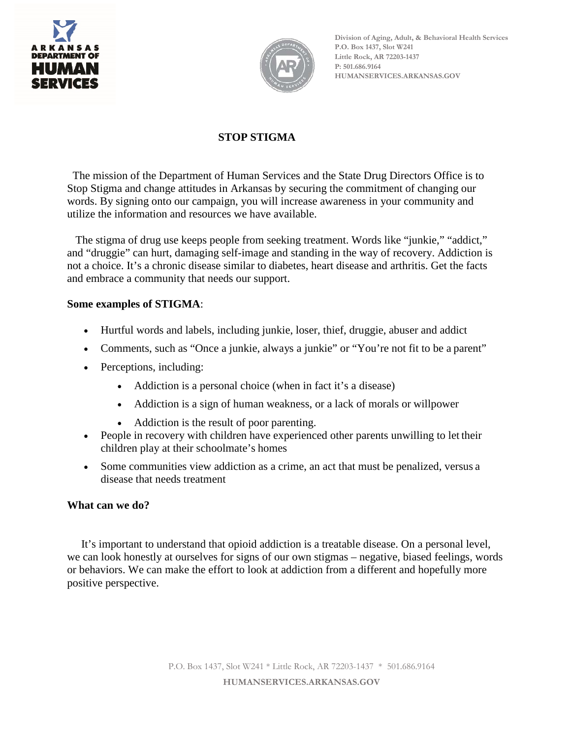



**Division of Aging, Adult, & Behavioral Health Services P.O. Box 1437, Slot W241 Little Rock, AR 72203-1437 P: 501.686.9164 HUMANSERVICES.ARKANSAS.GOV**

## **STOP STIGMA**

The mission of the Department of Human Services and the State Drug Directors Office is to Stop Stigma and change attitudes in Arkansas by securing the commitment of changing our words. By signing onto our campaign, you will increase awareness in your community and utilize the information and resources we have available.

The stigma of drug use keeps people from seeking treatment. Words like "junkie," "addict," and "druggie" can hurt, damaging self-image and standing in the way of recovery. Addiction is not a choice. It's a chronic disease similar to diabetes, heart disease and arthritis. Get the facts and embrace a community that needs our support.

### **Some examples of STIGMA**:

- Hurtful words and labels, including junkie, loser, thief, druggie, abuser and addict
- Comments, such as "Once a junkie, always a junkie" or "You're not fit to be a parent"
- Perceptions, including:
	- Addiction is a personal choice (when in fact it's a disease)
	- Addiction is a sign of human weakness, or a lack of morals or willpower
	- Addiction is the result of poor parenting.
- People in recovery with children have experienced other parents unwilling to let their children play at their schoolmate's homes
- Some communities view addiction as a crime, an act that must be penalized, versus a disease that needs treatment

#### **What can we do?**

It's important to understand that opioid addiction is a treatable disease. On a personal level, we can look honestly at ourselves for signs of our own stigmas – negative, biased feelings, words or behaviors. We can make the effort to look at addiction from a different and hopefully more positive perspective.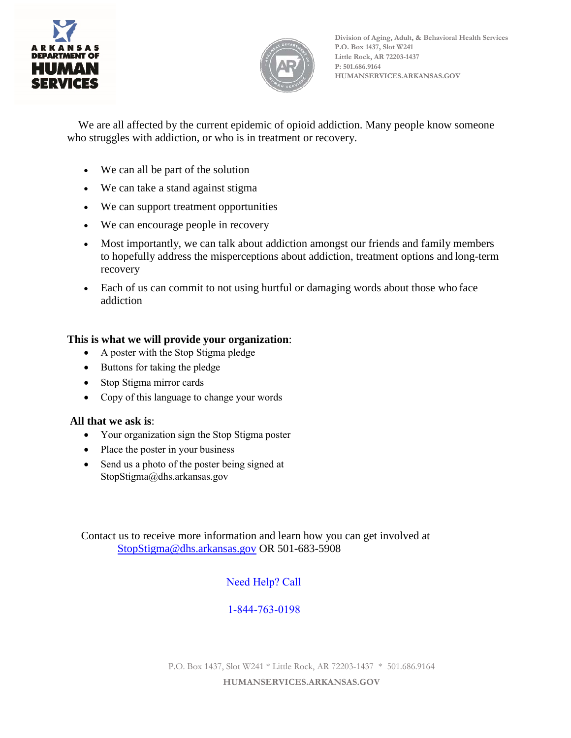



**Division of Aging, Adult, & Behavioral Health Services P.O. Box 1437, Slot W241 Little Rock, AR 72203-1437 P: 501.686.9164 HUMANSERVICES.ARKANSAS.GOV**

We are all affected by the current epidemic of opioid addiction. Many people know someone who struggles with addiction, or who is in treatment or recovery.

- We can all be part of the solution
- We can take a stand against stigma
- We can support treatment opportunities
- We can encourage people in recovery
- Most importantly, we can talk about addiction amongst our friends and family members to hopefully address the misperceptions about addiction, treatment options and long-term recovery
- Each of us can commit to not using hurtful or damaging words about those who face addiction

## **This is what we will provide your organization**:

- A poster with the Stop Stigma pledge
- Buttons for taking the pledge
- Stop Stigma mirror cards
- Copy of this language to change your words

#### **All that we ask is**:

- Your organization sign the Stop Stigma poster
- Place the poster in your business
- Send us a photo of the poster being signed at [StopStigma@dhs.arkansas.gov](mailto:StopStigma@dhs.arkansas.gov)

 Contact us to receive more information and learn how you can get involved at [StopStigma@dhs.arkansas.gov](mailto:StopStigma@dhs.arkansas.gov) OR 501-683-5908

# Need Help? Call

## 1-844-763-0198